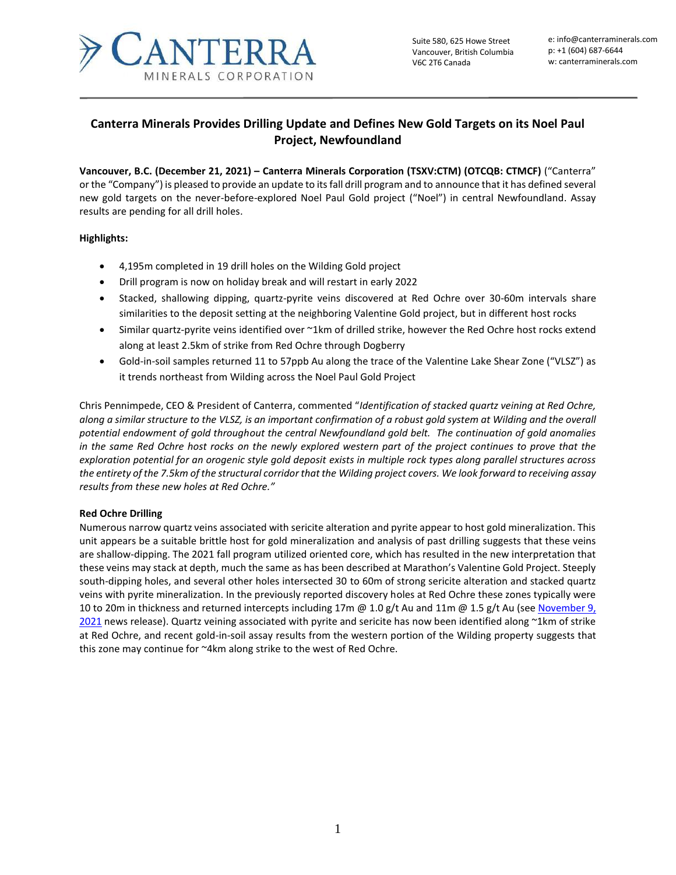

Suite 580, 625 Howe Street Vancouver, British Columbia V6C 2T6 Canada

e: info@canterraminerals.com p: +1 (604) 687-6644 w: canterraminerals.com

# **Canterra Minerals Provides Drilling Update and Defines New Gold Targets on its Noel Paul Project, Newfoundland**

**Vancouver, B.C. (December 21, 2021) – Canterra Minerals Corporation (TSXV:CTM) (OTCQB: CTMCF)** ("Canterra" or the "Company") is pleased to provide an update to its fall drill program and to announce that it has defined several new gold targets on the never-before-explored Noel Paul Gold project ("Noel") in central Newfoundland. Assay results are pending for all drill holes.

# **Highlights:**

- 4,195m completed in 19 drill holes on the Wilding Gold project
- Drill program is now on holiday break and will restart in early 2022
- Stacked, shallowing dipping, quartz-pyrite veins discovered at Red Ochre over 30-60m intervals share similarities to the deposit setting at the neighboring Valentine Gold project, but in different host rocks
- Similar quartz-pyrite veins identified over ~1km of drilled strike, however the Red Ochre host rocks extend along at least 2.5km of strike from Red Ochre through Dogberry
- Gold-in-soil samples returned 11 to 57ppb Au along the trace of the Valentine Lake Shear Zone ("VLSZ") as it trends northeast from Wilding across the Noel Paul Gold Project

Chris Pennimpede, CEO & President of Canterra, commented "*Identification of stacked quartz veining at Red Ochre, along a similar structure to the VLSZ, is an important confirmation of a robust gold system at Wilding and the overall potential endowment of gold throughout the central Newfoundland gold belt. The continuation of gold anomalies in the same Red Ochre host rocks on the newly explored western part of the project continues to prove that the exploration potential for an orogenic style gold deposit exists in multiple rock types along parallel structures across the entirety of the 7.5km of the structural corridor that the Wilding project covers. We look forward to receiving assay results from these new holes at Red Ochre."*

# **Red Ochre Drilling**

Numerous narrow quartz veins associated with sericite alteration and pyrite appear to host gold mineralization. This unit appears be a suitable brittle host for gold mineralization and analysis of past drilling suggests that these veins are shallow-dipping. The 2021 fall program utilized oriented core, which has resulted in the new interpretation that these veins may stack at depth, much the same as has been described at Marathon's Valentine Gold Project. Steeply south-dipping holes, and several other holes intersected 30 to 60m of strong sericite alteration and stacked quartz veins with pyrite mineralization. In the previously reported discovery holes at Red Ochre these zones typically were 10 to 20m in thickness and returned intercepts including 17m @ 1.0 g/t Au and 11m @ 1.5 g/t Au (se[e November 9,](https://canterraminerals.com/news-releases/canterra-to-acquire-wilding-lake-gold-project-and-announces-3.25-million-financing/)  [2021](https://canterraminerals.com/news-releases/canterra-to-acquire-wilding-lake-gold-project-and-announces-3.25-million-financing/) news release). Quartz veining associated with pyrite and sericite has now been identified along ~1km of strike at Red Ochre, and recent gold-in-soil assay results from the western portion of the Wilding property suggests that this zone may continue for ~4km along strike to the west of Red Ochre.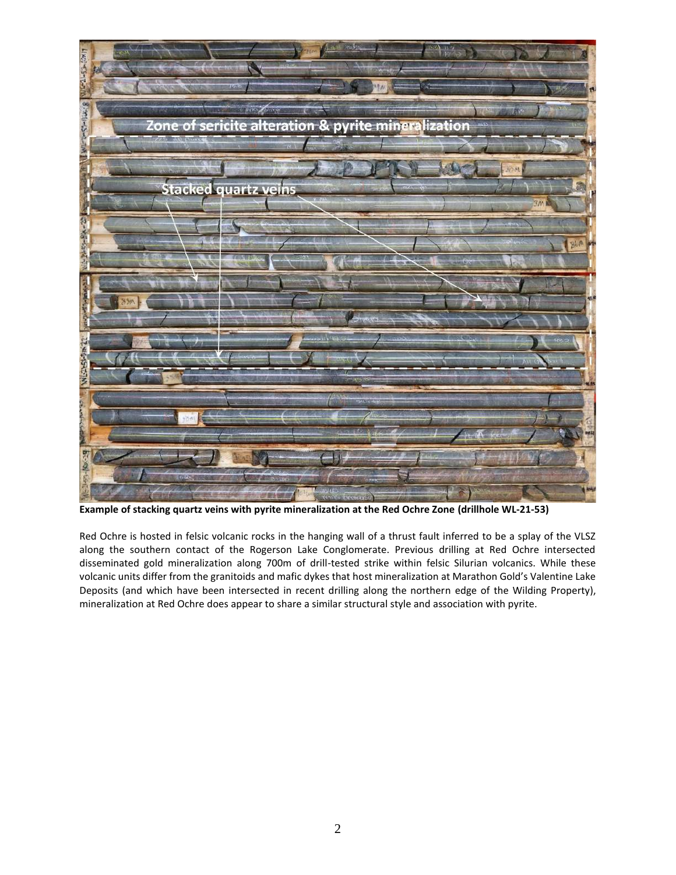

**Example of stacking quartz veins with pyrite mineralization at the Red Ochre Zone (drillhole WL-21-53)**

Red Ochre is hosted in felsic volcanic rocks in the hanging wall of a thrust fault inferred to be a splay of the VLSZ along the southern contact of the Rogerson Lake Conglomerate. Previous drilling at Red Ochre intersected disseminated gold mineralization along 700m of drill-tested strike within felsic Silurian volcanics. While these volcanic units differ from the granitoids and mafic dykes that host mineralization at Marathon Gold's Valentine Lake Deposits (and which have been intersected in recent drilling along the northern edge of the Wilding Property), mineralization at Red Ochre does appear to share a similar structural style and association with pyrite.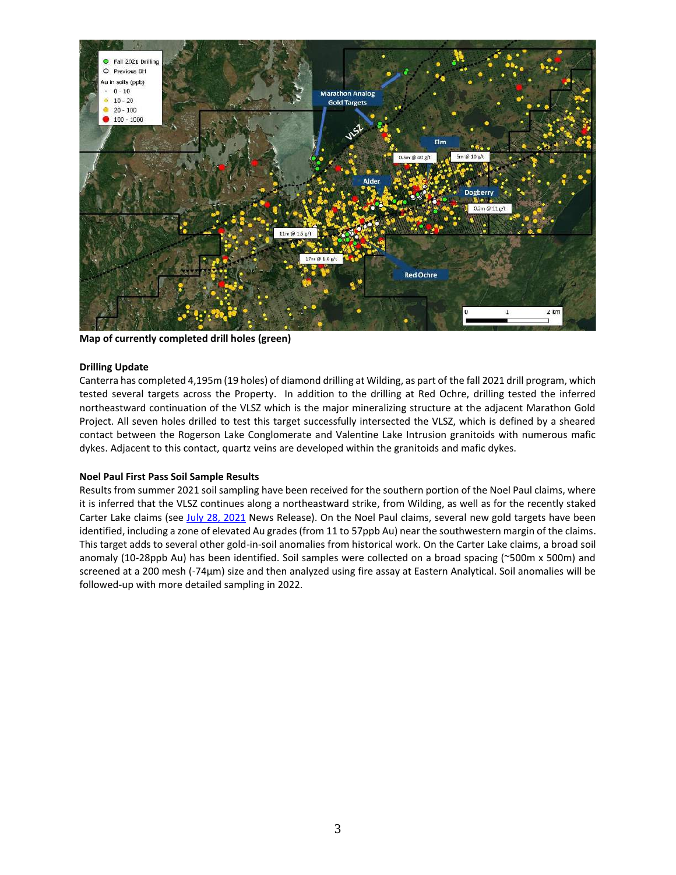

**Map of currently completed drill holes (green)**

#### **Drilling Update**

Canterra has completed 4,195m (19 holes) of diamond drilling at Wilding, as part of the fall 2021 drill program, which tested several targets across the Property. In addition to the drilling at Red Ochre, drilling tested the inferred northeastward continuation of the VLSZ which is the major mineralizing structure at the adjacent Marathon Gold Project. All seven holes drilled to test this target successfully intersected the VLSZ, which is defined by a sheared contact between the Rogerson Lake Conglomerate and Valentine Lake Intrusion granitoids with numerous mafic dykes. Adjacent to this contact, quartz veins are developed within the granitoids and mafic dykes.

# **Noel Paul First Pass Soil Sample Results**

Results from summer 2021 soil sampling have been received for the southern portion of the Noel Paul claims, where it is inferred that the VLSZ continues along a northeastward strike, from Wilding, as well as for the recently staked Carter Lake claims (see July [28, 2021](https://canterraminerals.com/news-releases/canterra-minerals-stakes-the-carter-lake-property-in-central-newfoundland/) News Release). On the Noel Paul claims, several new gold targets have been identified, including a zone of elevated Au grades (from 11 to 57ppb Au) near the southwestern margin of the claims. This target adds to several other gold-in-soil anomalies from historical work. On the Carter Lake claims, a broad soil anomaly (10-28ppb Au) has been identified. Soil samples were collected on a broad spacing (~500m x 500m) and screened at a 200 mesh (-74µm) size and then analyzed using fire assay at Eastern Analytical. Soil anomalies will be followed-up with more detailed sampling in 2022.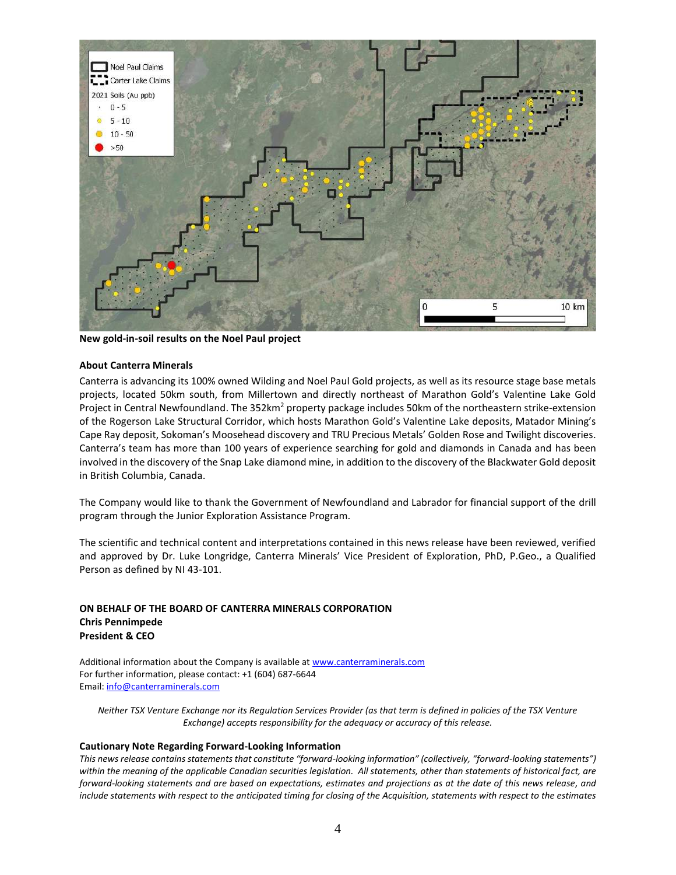

**New gold-in-soil results on the Noel Paul project**

#### **About Canterra Minerals**

Canterra is advancing its 100% owned Wilding and Noel Paul Gold projects, as well as its resource stage base metals projects, located 50km south, from Millertown and directly northeast of Marathon Gold's Valentine Lake Gold Project in Central Newfoundland. The 352km<sup>2</sup> property package includes 50km of the northeastern strike-extension of the Rogerson Lake Structural Corridor, which hosts Marathon Gold's Valentine Lake deposits, Matador Mining's Cape Ray deposit, Sokoman's Moosehead discovery and TRU Precious Metals' Golden Rose and Twilight discoveries. Canterra's team has more than 100 years of experience searching for gold and diamonds in Canada and has been involved in the discovery of the Snap Lake diamond mine, in addition to the discovery of the Blackwater Gold deposit in British Columbia, Canada.

The Company would like to thank the Government of Newfoundland and Labrador for financial support of the drill program through the Junior Exploration Assistance Program.

The scientific and technical content and interpretations contained in this news release have been reviewed, verified and approved by Dr. Luke Longridge, Canterra Minerals' Vice President of Exploration, PhD, P.Geo., a Qualified Person as defined by NI 43-101.

### **ON BEHALF OF THE BOARD OF CANTERRA MINERALS CORPORATION Chris Pennimpede President & CEO**

Additional information about the Company is available at [www.canterraminerals.com](http://www.canterraminerals.com/s/Home.asp) For further information, please contact: +1 (604) 687-6644 Email: [info@canterraminerals.com](mailto:info@canterraminerals.com)

*Neither TSX Venture Exchange nor its Regulation Services Provider (as that term is defined in policies of the TSX Venture Exchange) accepts responsibility for the adequacy or accuracy of this release.*

#### **Cautionary Note Regarding Forward-Looking Information**

*This news release contains statements that constitute "forward-looking information" (collectively, "forward-looking statements") within the meaning of the applicable Canadian securities legislation. All statements, other than statements of historical fact, are forward-looking statements and are based on expectations, estimates and projections as at the date of this news release, and include statements with respect to the anticipated timing for closing of the Acquisition, statements with respect to the estimates*